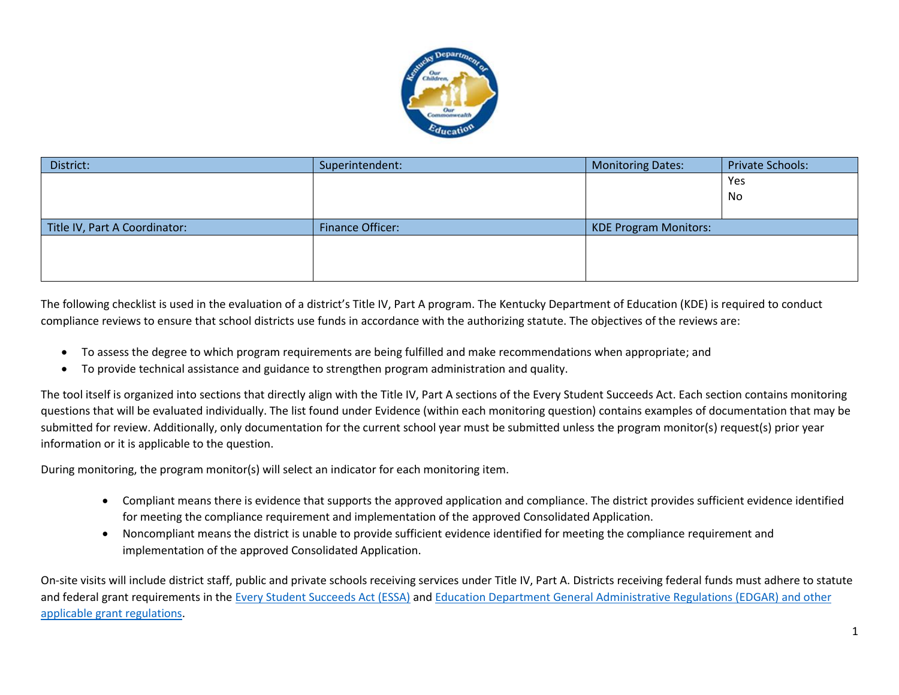

| District:                     | Superintendent:         | <b>Monitoring Dates:</b>     | <b>Private Schools:</b> |
|-------------------------------|-------------------------|------------------------------|-------------------------|
|                               |                         |                              | Yes                     |
|                               |                         |                              | No.                     |
|                               |                         |                              |                         |
| Title IV, Part A Coordinator: | <b>Finance Officer:</b> | <b>KDE Program Monitors:</b> |                         |
|                               |                         |                              |                         |
|                               |                         |                              |                         |
|                               |                         |                              |                         |

The following checklist is used in the evaluation of a district's Title IV, Part A program. The Kentucky Department of Education (KDE) is required to conduct compliance reviews to ensure that school districts use funds in accordance with the authorizing statute. The objectives of the reviews are:

- To assess the degree to which program requirements are being fulfilled and make recommendations when appropriate; and
- To provide technical assistance and guidance to strengthen program administration and quality.

The tool itself is organized into sections that directly align with the Title IV, Part A sections of the Every Student Succeeds Act. Each section contains monitoring questions that will be evaluated individually. The list found under Evidence (within each monitoring question) contains examples of documentation that may be submitted for review. Additionally, only documentation for the current school year must be submitted unless the program monitor(s) request(s) prior year information or it is applicable to the question.

During monitoring, the program monitor(s) will select an indicator for each monitoring item.

- Compliant means there is evidence that supports the approved application and compliance. The district provides sufficient evidence identified for meeting the compliance requirement and implementation of the approved Consolidated Application.
- Noncompliant means the district is unable to provide sufficient evidence identified for meeting the compliance requirement and implementation of the approved Consolidated Application.

On-site visits will include district staff, public and private schools receiving services under Title IV, Part A. Districts receiving federal funds must adhere to statute and federal grant requirements in the [Every Student Succeeds Act \(ESSA\)](https://www.ed.gov/essa?src=rn) and [Education Department General Administrative Regulations](https://www2.ed.gov/policy/fund/reg/edgarReg/edgar.html) (EDGAR) and other [applicable grant regulations.](https://www2.ed.gov/policy/fund/reg/edgarReg/edgar.html)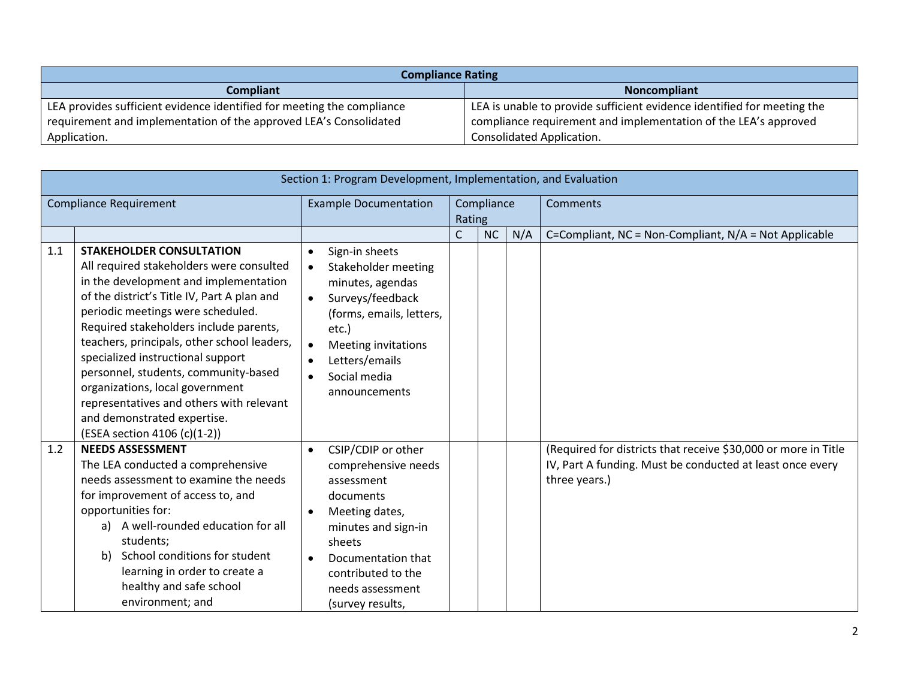| <b>Compliance Rating</b>                                               |                                                                         |  |  |  |  |  |  |  |  |
|------------------------------------------------------------------------|-------------------------------------------------------------------------|--|--|--|--|--|--|--|--|
| <b>Compliant</b>                                                       | <b>Noncompliant</b>                                                     |  |  |  |  |  |  |  |  |
| LEA provides sufficient evidence identified for meeting the compliance | LEA is unable to provide sufficient evidence identified for meeting the |  |  |  |  |  |  |  |  |
| requirement and implementation of the approved LEA's Consolidated      | compliance requirement and implementation of the LEA's approved         |  |  |  |  |  |  |  |  |
| Application.                                                           | Consolidated Application.                                               |  |  |  |  |  |  |  |  |

|                               | Section 1: Program Development, Implementation, and Evaluation                                                                                                                                                                                                                                                                                                                                                                                                                                                               |                                                                                                                                                                                                                                                                      |   |           |          |                                                                                                                                              |  |  |  |
|-------------------------------|------------------------------------------------------------------------------------------------------------------------------------------------------------------------------------------------------------------------------------------------------------------------------------------------------------------------------------------------------------------------------------------------------------------------------------------------------------------------------------------------------------------------------|----------------------------------------------------------------------------------------------------------------------------------------------------------------------------------------------------------------------------------------------------------------------|---|-----------|----------|----------------------------------------------------------------------------------------------------------------------------------------------|--|--|--|
| <b>Compliance Requirement</b> |                                                                                                                                                                                                                                                                                                                                                                                                                                                                                                                              | <b>Example Documentation</b><br>Compliance<br>Rating                                                                                                                                                                                                                 |   |           | Comments |                                                                                                                                              |  |  |  |
|                               |                                                                                                                                                                                                                                                                                                                                                                                                                                                                                                                              |                                                                                                                                                                                                                                                                      | C | <b>NC</b> | N/A      | C=Compliant, NC = Non-Compliant, N/A = Not Applicable                                                                                        |  |  |  |
| 1.1                           | <b>STAKEHOLDER CONSULTATION</b><br>All required stakeholders were consulted<br>in the development and implementation<br>of the district's Title IV, Part A plan and<br>periodic meetings were scheduled.<br>Required stakeholders include parents,<br>teachers, principals, other school leaders,<br>specialized instructional support<br>personnel, students, community-based<br>organizations, local government<br>representatives and others with relevant<br>and demonstrated expertise.<br>(ESEA section 4106 (c)(1-2)) | Sign-in sheets<br>$\bullet$<br>Stakeholder meeting<br>$\bullet$<br>minutes, agendas<br>Surveys/feedback<br>$\bullet$<br>(forms, emails, letters,<br>etc.)<br><b>Meeting invitations</b><br>$\bullet$<br>Letters/emails<br>$\bullet$<br>Social media<br>announcements |   |           |          |                                                                                                                                              |  |  |  |
| 1.2                           | <b>NEEDS ASSESSMENT</b><br>The LEA conducted a comprehensive<br>needs assessment to examine the needs<br>for improvement of access to, and<br>opportunities for:<br>a) A well-rounded education for all<br>students;<br>School conditions for student<br>b)<br>learning in order to create a<br>healthy and safe school<br>environment; and                                                                                                                                                                                  | CSIP/CDIP or other<br>$\bullet$<br>comprehensive needs<br>assessment<br>documents<br>Meeting dates,<br>$\bullet$<br>minutes and sign-in<br>sheets<br>Documentation that<br>$\bullet$<br>contributed to the<br>needs assessment<br>(survey results,                   |   |           |          | (Required for districts that receive \$30,000 or more in Title<br>IV, Part A funding. Must be conducted at least once every<br>three years.) |  |  |  |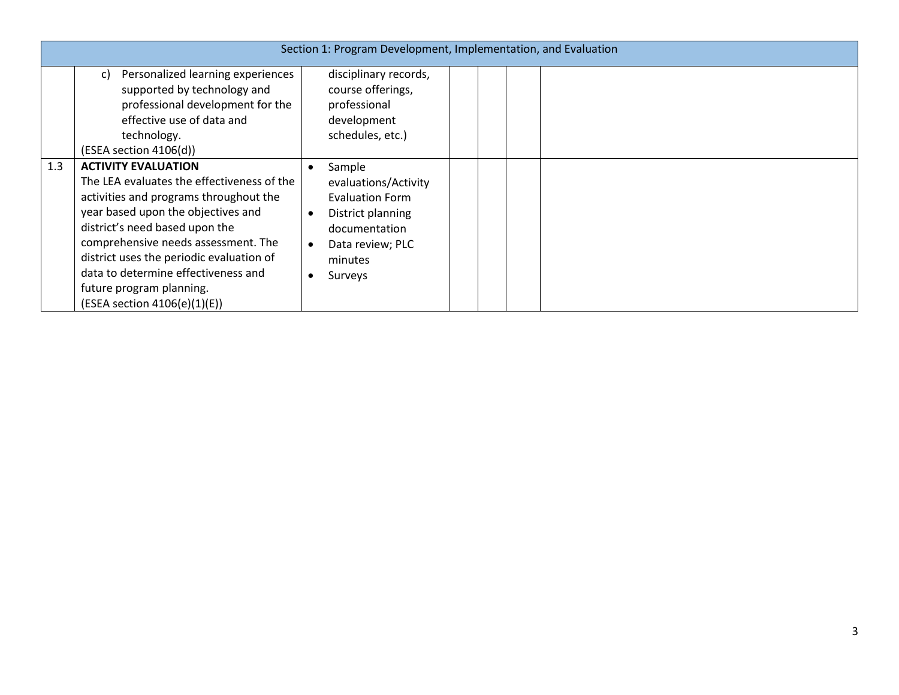|     | Section 1: Program Development, Implementation, and Evaluation                                                                                                                                                                                                                                                                                                                   |                                                                                                                                          |  |  |  |  |  |  |
|-----|----------------------------------------------------------------------------------------------------------------------------------------------------------------------------------------------------------------------------------------------------------------------------------------------------------------------------------------------------------------------------------|------------------------------------------------------------------------------------------------------------------------------------------|--|--|--|--|--|--|
|     | Personalized learning experiences<br>C)<br>supported by technology and<br>professional development for the<br>effective use of data and<br>technology.<br>(ESEA section 4106(d))                                                                                                                                                                                                 | disciplinary records,<br>course offerings,<br>professional<br>development<br>schedules, etc.)                                            |  |  |  |  |  |  |
| 1.3 | <b>ACTIVITY EVALUATION</b><br>The LEA evaluates the effectiveness of the<br>activities and programs throughout the<br>year based upon the objectives and<br>district's need based upon the<br>comprehensive needs assessment. The<br>district uses the periodic evaluation of<br>data to determine effectiveness and<br>future program planning.<br>(ESEA section 4106(e)(1)(E)) | Sample<br>evaluations/Activity<br><b>Evaluation Form</b><br>District planning<br>documentation<br>Data review; PLC<br>minutes<br>Surveys |  |  |  |  |  |  |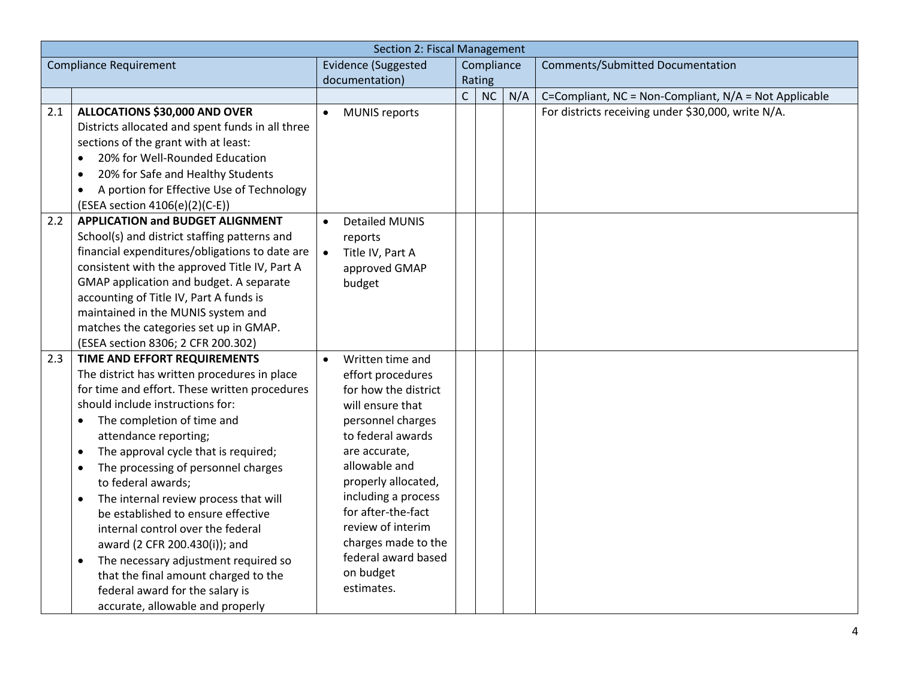|                               | Section 2: Fiscal Management                           |                            |                                           |                |            |     |                                                       |  |
|-------------------------------|--------------------------------------------------------|----------------------------|-------------------------------------------|----------------|------------|-----|-------------------------------------------------------|--|
| <b>Compliance Requirement</b> |                                                        | <b>Evidence (Suggested</b> |                                           |                | Compliance |     | Comments/Submitted Documentation                      |  |
|                               |                                                        |                            | documentation)                            |                | Rating     |     |                                                       |  |
|                               |                                                        |                            |                                           | $\overline{C}$ | NC         | N/A | C=Compliant, NC = Non-Compliant, N/A = Not Applicable |  |
| 2.1                           | ALLOCATIONS \$30,000 AND OVER                          | $\bullet$                  | <b>MUNIS reports</b>                      |                |            |     | For districts receiving under \$30,000, write N/A.    |  |
|                               | Districts allocated and spent funds in all three       |                            |                                           |                |            |     |                                                       |  |
|                               | sections of the grant with at least:                   |                            |                                           |                |            |     |                                                       |  |
|                               | 20% for Well-Rounded Education<br>$\bullet$            |                            |                                           |                |            |     |                                                       |  |
|                               | 20% for Safe and Healthy Students<br>$\bullet$         |                            |                                           |                |            |     |                                                       |  |
|                               | A portion for Effective Use of Technology<br>$\bullet$ |                            |                                           |                |            |     |                                                       |  |
|                               | (ESEA section 4106(e)(2)(C-E))                         |                            |                                           |                |            |     |                                                       |  |
| 2.2                           | <b>APPLICATION and BUDGET ALIGNMENT</b>                | $\bullet$                  | <b>Detailed MUNIS</b>                     |                |            |     |                                                       |  |
|                               | School(s) and district staffing patterns and           |                            | reports                                   |                |            |     |                                                       |  |
|                               | financial expenditures/obligations to date are         | $\bullet$                  | Title IV, Part A                          |                |            |     |                                                       |  |
|                               | consistent with the approved Title IV, Part A          |                            | approved GMAP                             |                |            |     |                                                       |  |
|                               | GMAP application and budget. A separate                |                            | budget                                    |                |            |     |                                                       |  |
|                               | accounting of Title IV, Part A funds is                |                            |                                           |                |            |     |                                                       |  |
|                               | maintained in the MUNIS system and                     |                            |                                           |                |            |     |                                                       |  |
|                               | matches the categories set up in GMAP.                 |                            |                                           |                |            |     |                                                       |  |
|                               | (ESEA section 8306; 2 CFR 200.302)                     |                            |                                           |                |            |     |                                                       |  |
| 2.3                           | TIME AND EFFORT REQUIREMENTS                           | $\bullet$                  | Written time and                          |                |            |     |                                                       |  |
|                               | The district has written procedures in place           |                            | effort procedures                         |                |            |     |                                                       |  |
|                               | for time and effort. These written procedures          |                            | for how the district                      |                |            |     |                                                       |  |
|                               | should include instructions for:                       |                            | will ensure that                          |                |            |     |                                                       |  |
|                               | The completion of time and<br>$\bullet$                |                            | personnel charges                         |                |            |     |                                                       |  |
|                               | attendance reporting;                                  |                            | to federal awards                         |                |            |     |                                                       |  |
|                               | The approval cycle that is required;<br>$\bullet$      |                            | are accurate,                             |                |            |     |                                                       |  |
|                               | The processing of personnel charges<br>$\bullet$       |                            | allowable and                             |                |            |     |                                                       |  |
|                               | to federal awards;                                     |                            | properly allocated,                       |                |            |     |                                                       |  |
|                               | The internal review process that will<br>$\bullet$     |                            | including a process<br>for after-the-fact |                |            |     |                                                       |  |
|                               | be established to ensure effective                     |                            | review of interim                         |                |            |     |                                                       |  |
|                               | internal control over the federal                      |                            | charges made to the                       |                |            |     |                                                       |  |
|                               | award (2 CFR 200.430(i)); and                          |                            | federal award based                       |                |            |     |                                                       |  |
|                               | The necessary adjustment required so<br>$\bullet$      |                            | on budget                                 |                |            |     |                                                       |  |
|                               | that the final amount charged to the                   |                            | estimates.                                |                |            |     |                                                       |  |
|                               | federal award for the salary is                        |                            |                                           |                |            |     |                                                       |  |
|                               | accurate, allowable and properly                       |                            |                                           |                |            |     |                                                       |  |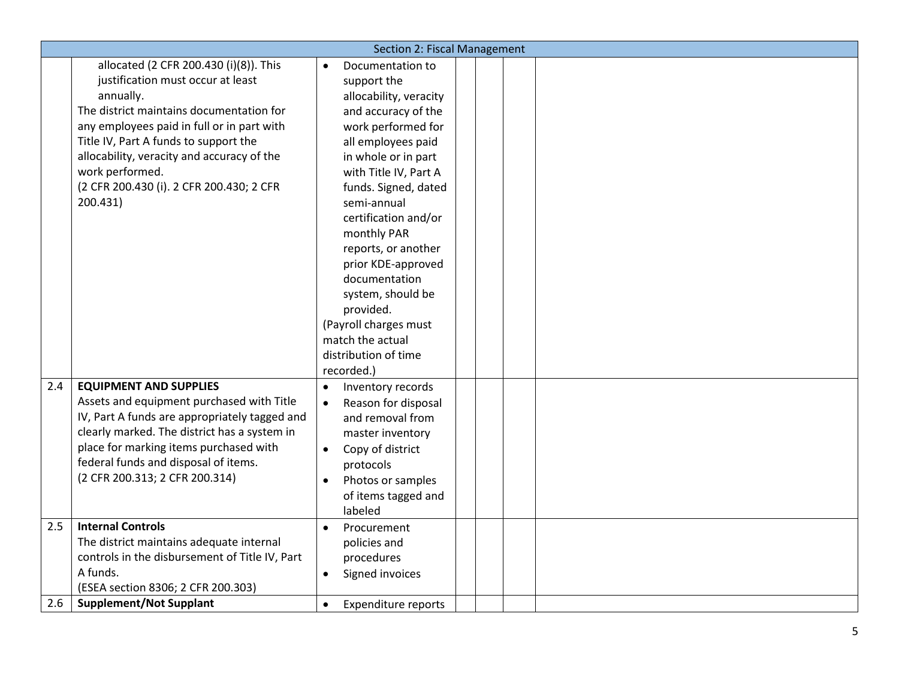|     | Section 2: Fiscal Management                   |                                  |  |  |  |  |  |
|-----|------------------------------------------------|----------------------------------|--|--|--|--|--|
|     | allocated (2 CFR 200.430 (i)(8)). This         | Documentation to<br>$\bullet$    |  |  |  |  |  |
|     | justification must occur at least              | support the                      |  |  |  |  |  |
|     | annually.                                      | allocability, veracity           |  |  |  |  |  |
|     | The district maintains documentation for       | and accuracy of the              |  |  |  |  |  |
|     | any employees paid in full or in part with     | work performed for               |  |  |  |  |  |
|     | Title IV, Part A funds to support the          | all employees paid               |  |  |  |  |  |
|     | allocability, veracity and accuracy of the     | in whole or in part              |  |  |  |  |  |
|     | work performed.                                | with Title IV, Part A            |  |  |  |  |  |
|     | (2 CFR 200.430 (i). 2 CFR 200.430; 2 CFR       | funds. Signed, dated             |  |  |  |  |  |
|     | 200.431)                                       | semi-annual                      |  |  |  |  |  |
|     |                                                | certification and/or             |  |  |  |  |  |
|     |                                                | monthly PAR                      |  |  |  |  |  |
|     |                                                | reports, or another              |  |  |  |  |  |
|     |                                                | prior KDE-approved               |  |  |  |  |  |
|     |                                                | documentation                    |  |  |  |  |  |
|     |                                                | system, should be                |  |  |  |  |  |
|     |                                                | provided.                        |  |  |  |  |  |
|     |                                                | (Payroll charges must            |  |  |  |  |  |
|     |                                                | match the actual                 |  |  |  |  |  |
|     |                                                | distribution of time             |  |  |  |  |  |
|     |                                                | recorded.)                       |  |  |  |  |  |
| 2.4 | <b>EQUIPMENT AND SUPPLIES</b>                  | Inventory records<br>$\bullet$   |  |  |  |  |  |
|     | Assets and equipment purchased with Title      | Reason for disposal<br>$\bullet$ |  |  |  |  |  |
|     | IV, Part A funds are appropriately tagged and  | and removal from                 |  |  |  |  |  |
|     | clearly marked. The district has a system in   | master inventory                 |  |  |  |  |  |
|     | place for marking items purchased with         | Copy of district<br>$\bullet$    |  |  |  |  |  |
|     | federal funds and disposal of items.           | protocols                        |  |  |  |  |  |
|     | (2 CFR 200.313; 2 CFR 200.314)                 | Photos or samples<br>$\bullet$   |  |  |  |  |  |
|     |                                                | of items tagged and              |  |  |  |  |  |
|     |                                                | labeled                          |  |  |  |  |  |
| 2.5 | <b>Internal Controls</b>                       | Procurement<br>$\bullet$         |  |  |  |  |  |
|     | The district maintains adequate internal       | policies and                     |  |  |  |  |  |
|     | controls in the disbursement of Title IV, Part | procedures                       |  |  |  |  |  |
|     | A funds.                                       | Signed invoices<br>$\bullet$     |  |  |  |  |  |
|     | (ESEA section 8306; 2 CFR 200.303)             |                                  |  |  |  |  |  |
| 2.6 | <b>Supplement/Not Supplant</b>                 | <b>Expenditure reports</b>       |  |  |  |  |  |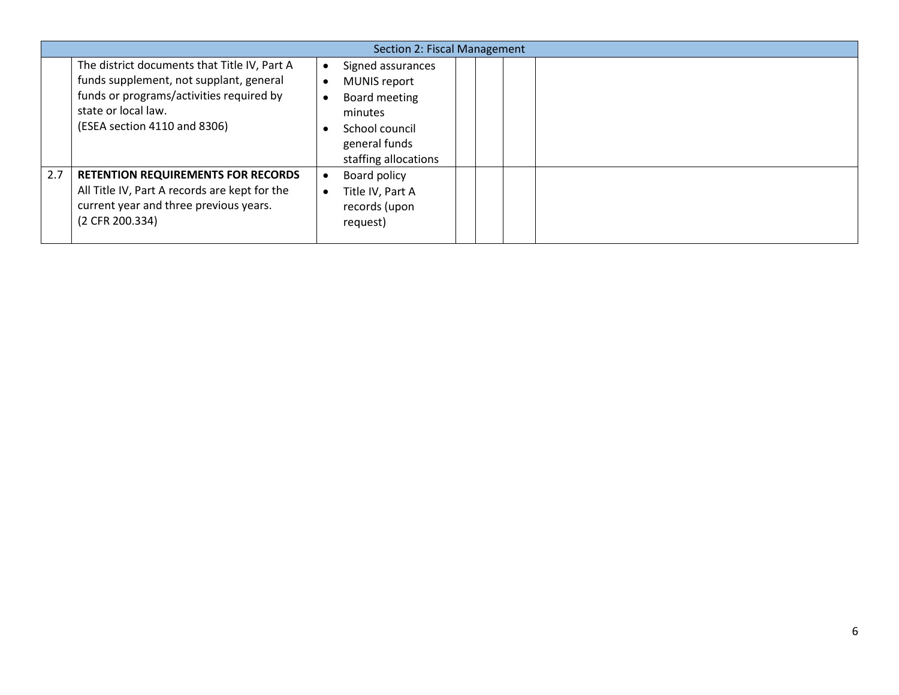|     | Section 2: Fiscal Management                                                                                                                                                               |  |                                                                                                                          |  |  |  |  |  |
|-----|--------------------------------------------------------------------------------------------------------------------------------------------------------------------------------------------|--|--------------------------------------------------------------------------------------------------------------------------|--|--|--|--|--|
|     | The district documents that Title IV, Part A<br>funds supplement, not supplant, general<br>funds or programs/activities required by<br>state or local law.<br>(ESEA section 4110 and 8306) |  | Signed assurances<br>MUNIS report<br>Board meeting<br>minutes<br>School council<br>general funds<br>staffing allocations |  |  |  |  |  |
| 2.7 | <b>RETENTION REQUIREMENTS FOR RECORDS</b><br>All Title IV, Part A records are kept for the<br>current year and three previous years.<br>(2 CFR 200.334)                                    |  | Board policy<br>Title IV, Part A<br>records (upon<br>request)                                                            |  |  |  |  |  |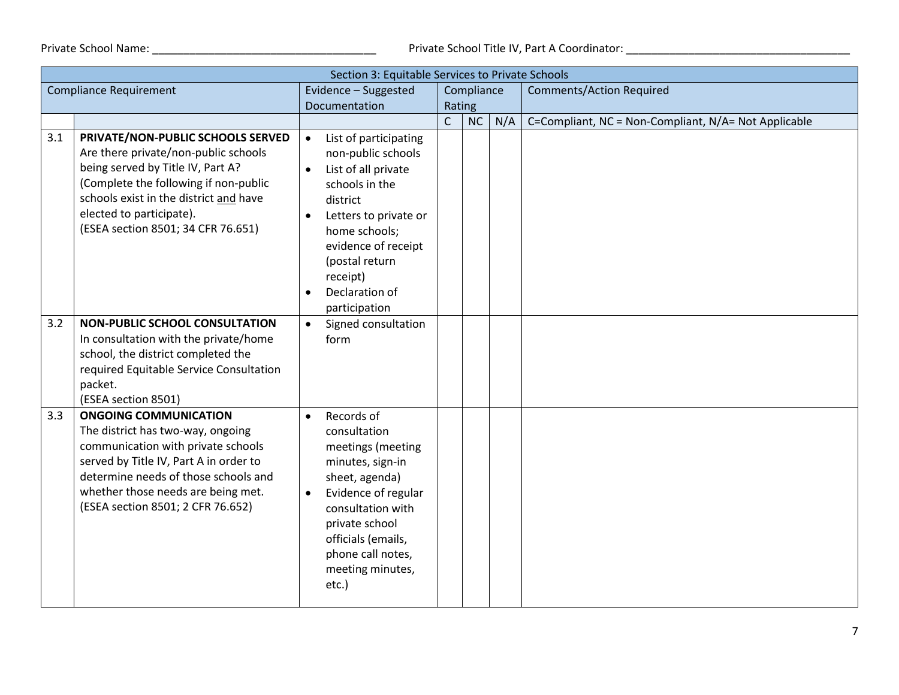Private School Name: \_\_\_\_\_\_\_\_\_\_\_\_\_\_\_\_\_\_\_\_\_\_\_\_\_\_\_\_\_\_\_\_\_\_\_\_ Private School Title IV, Part A Coordinator: \_\_\_\_\_\_\_\_\_\_\_\_\_\_\_\_\_\_\_\_\_\_\_\_\_\_\_\_\_\_\_\_\_\_\_\_

|                               | Section 3: Equitable Services to Private Schools                                                                                                                                                                                                                     |                                                                                                                                                                                                                                                                                        |              |            |     |                                                      |  |  |  |
|-------------------------------|----------------------------------------------------------------------------------------------------------------------------------------------------------------------------------------------------------------------------------------------------------------------|----------------------------------------------------------------------------------------------------------------------------------------------------------------------------------------------------------------------------------------------------------------------------------------|--------------|------------|-----|------------------------------------------------------|--|--|--|
| <b>Compliance Requirement</b> |                                                                                                                                                                                                                                                                      | Evidence - Suggested                                                                                                                                                                                                                                                                   |              | Compliance |     | <b>Comments/Action Required</b>                      |  |  |  |
|                               |                                                                                                                                                                                                                                                                      | Documentation                                                                                                                                                                                                                                                                          |              | Rating     |     |                                                      |  |  |  |
|                               |                                                                                                                                                                                                                                                                      |                                                                                                                                                                                                                                                                                        | $\mathsf{C}$ | NC         | N/A | C=Compliant, NC = Non-Compliant, N/A= Not Applicable |  |  |  |
| 3.1                           | PRIVATE/NON-PUBLIC SCHOOLS SERVED<br>Are there private/non-public schools<br>being served by Title IV, Part A?<br>(Complete the following if non-public<br>schools exist in the district and have<br>elected to participate).<br>(ESEA section 8501; 34 CFR 76.651)  | List of participating<br>$\bullet$<br>non-public schools<br>List of all private<br>$\bullet$<br>schools in the<br>district<br>Letters to private or<br>$\bullet$<br>home schools;<br>evidence of receipt<br>(postal return<br>receipt)<br>Declaration of<br>$\bullet$<br>participation |              |            |     |                                                      |  |  |  |
| 3.2                           | <b>NON-PUBLIC SCHOOL CONSULTATION</b><br>In consultation with the private/home<br>school, the district completed the<br>required Equitable Service Consultation<br>packet.<br>(ESEA section 8501)                                                                    | Signed consultation<br>$\bullet$<br>form                                                                                                                                                                                                                                               |              |            |     |                                                      |  |  |  |
| 3.3                           | <b>ONGOING COMMUNICATION</b><br>The district has two-way, ongoing<br>communication with private schools<br>served by Title IV, Part A in order to<br>determine needs of those schools and<br>whether those needs are being met.<br>(ESEA section 8501; 2 CFR 76.652) | Records of<br>$\bullet$<br>consultation<br>meetings (meeting<br>minutes, sign-in<br>sheet, agenda)<br>Evidence of regular<br>$\bullet$<br>consultation with<br>private school<br>officials (emails,<br>phone call notes,<br>meeting minutes,<br>etc.)                                  |              |            |     |                                                      |  |  |  |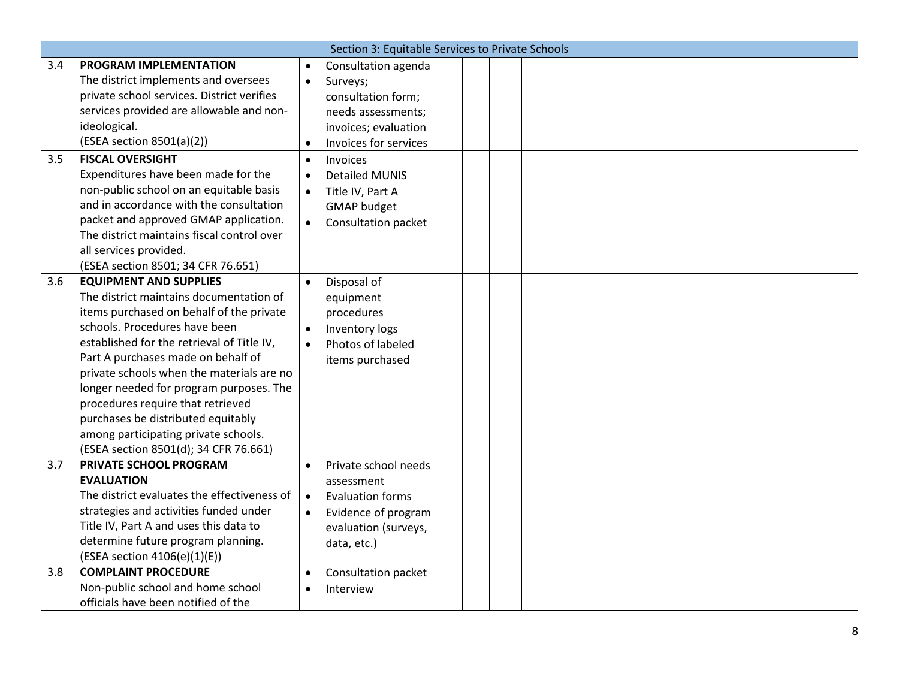|     | Section 3: Equitable Services to Private Schools |           |                         |  |  |  |  |  |
|-----|--------------------------------------------------|-----------|-------------------------|--|--|--|--|--|
| 3.4 | PROGRAM IMPLEMENTATION                           | $\bullet$ | Consultation agenda     |  |  |  |  |  |
|     | The district implements and oversees             | $\bullet$ | Surveys;                |  |  |  |  |  |
|     | private school services. District verifies       |           | consultation form;      |  |  |  |  |  |
|     | services provided are allowable and non-         |           | needs assessments;      |  |  |  |  |  |
|     | ideological.                                     |           | invoices; evaluation    |  |  |  |  |  |
|     | (ESEA section 8501(a)(2))                        | $\bullet$ | Invoices for services   |  |  |  |  |  |
| 3.5 | <b>FISCAL OVERSIGHT</b>                          | $\bullet$ | Invoices                |  |  |  |  |  |
|     | Expenditures have been made for the              | $\bullet$ | <b>Detailed MUNIS</b>   |  |  |  |  |  |
|     | non-public school on an equitable basis          | $\bullet$ | Title IV, Part A        |  |  |  |  |  |
|     | and in accordance with the consultation          |           | <b>GMAP</b> budget      |  |  |  |  |  |
|     | packet and approved GMAP application.            | $\bullet$ | Consultation packet     |  |  |  |  |  |
|     | The district maintains fiscal control over       |           |                         |  |  |  |  |  |
|     | all services provided.                           |           |                         |  |  |  |  |  |
|     | (ESEA section 8501; 34 CFR 76.651)               |           |                         |  |  |  |  |  |
| 3.6 | <b>EQUIPMENT AND SUPPLIES</b>                    | $\bullet$ | Disposal of             |  |  |  |  |  |
|     | The district maintains documentation of          |           | equipment               |  |  |  |  |  |
|     | items purchased on behalf of the private         |           | procedures              |  |  |  |  |  |
|     | schools. Procedures have been                    | $\bullet$ | Inventory logs          |  |  |  |  |  |
|     | established for the retrieval of Title IV,       | $\bullet$ | Photos of labeled       |  |  |  |  |  |
|     | Part A purchases made on behalf of               |           | items purchased         |  |  |  |  |  |
|     | private schools when the materials are no        |           |                         |  |  |  |  |  |
|     | longer needed for program purposes. The          |           |                         |  |  |  |  |  |
|     | procedures require that retrieved                |           |                         |  |  |  |  |  |
|     | purchases be distributed equitably               |           |                         |  |  |  |  |  |
|     | among participating private schools.             |           |                         |  |  |  |  |  |
|     | (ESEA section 8501(d); 34 CFR 76.661)            |           |                         |  |  |  |  |  |
| 3.7 | PRIVATE SCHOOL PROGRAM                           | $\bullet$ | Private school needs    |  |  |  |  |  |
|     | <b>EVALUATION</b>                                |           | assessment              |  |  |  |  |  |
|     | The district evaluates the effectiveness of      | $\bullet$ | <b>Evaluation forms</b> |  |  |  |  |  |
|     | strategies and activities funded under           | $\bullet$ | Evidence of program     |  |  |  |  |  |
|     | Title IV, Part A and uses this data to           |           | evaluation (surveys,    |  |  |  |  |  |
|     | determine future program planning.               |           | data, etc.)             |  |  |  |  |  |
|     | (ESEA section 4106(e)(1)(E))                     |           |                         |  |  |  |  |  |
| 3.8 | <b>COMPLAINT PROCEDURE</b>                       | $\bullet$ | Consultation packet     |  |  |  |  |  |
|     | Non-public school and home school                | $\bullet$ | Interview               |  |  |  |  |  |
|     | officials have been notified of the              |           |                         |  |  |  |  |  |